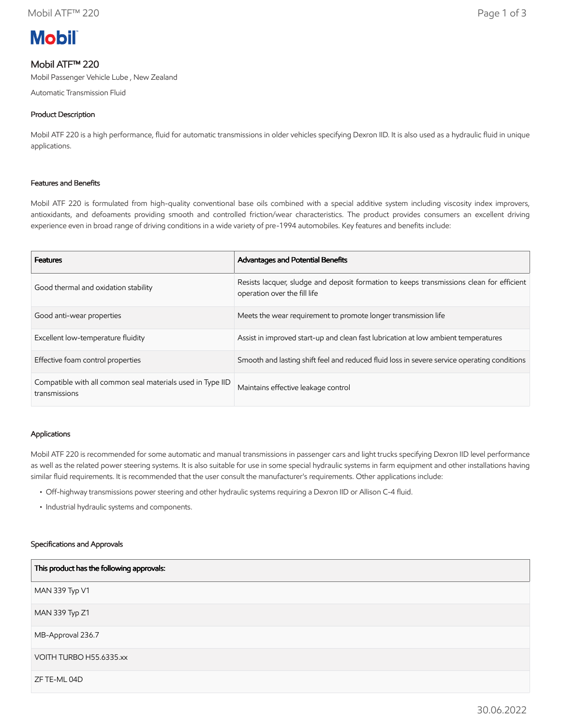# **Mobil**

# Mobil ATF™ 220

Mobil Passenger Vehicle Lube , New Zealand

Automatic Transmission Fluid

## Product Description

Mobil ATF 220 is a high performance, fluid for automatic transmissions in older vehicles specifying Dexron IID. It is also used as a hydraulic fluid in unique applications.

## Features and Benefits

Mobil ATF 220 is formulated from high-quality conventional base oils combined with a special additive system including viscosity index improvers, antioxidants, and defoaments providing smooth and controlled friction/wear characteristics. The product provides consumers an excellent driving experience even in broad range of driving conditions in a wide variety of pre-1994 automobiles. Key features and benefits include:

| <b>Features</b>                                                             | <b>Advantages and Potential Benefits</b>                                                                                 |  |
|-----------------------------------------------------------------------------|--------------------------------------------------------------------------------------------------------------------------|--|
| Good thermal and oxidation stability                                        | Resists lacquer, sludge and deposit formation to keeps transmissions clean for efficient<br>operation over the fill life |  |
| Good anti-wear properties                                                   | Meets the wear requirement to promote longer transmission life                                                           |  |
| Excellent low-temperature fluidity                                          | Assist in improved start-up and clean fast lubrication at low ambient temperatures                                       |  |
| Effective foam control properties                                           | Smooth and lasting shift feel and reduced fluid loss in severe service operating conditions                              |  |
| Compatible with all common seal materials used in Type IID<br>transmissions | Maintains effective leakage control                                                                                      |  |

## Applications

Mobil ATF 220 is recommended for some automatic and manual transmissions in passenger cars and light trucks specifying Dexron IID level performance as well as the related power steering systems. It is also suitable for use in some special hydraulic systems in farm equipment and other installations having similar fluid requirements. It is recommended that the user consult the manufacturer's requirements. Other applications include:

- Off-highway transmissions power steering and other hydraulic systems requiring a Dexron IID or Allison C-4 fluid.
- Industrial hydraulic systems and components.

## Specifications and Approvals

| This product has the following approvals: |
|-------------------------------------------|
| MAN 339 Typ V1                            |
| MAN 339 Typ Z1                            |
| MB-Approval 236.7                         |
| VOITH TURBO H55.6335.xx                   |
| ZF TE-ML 04D                              |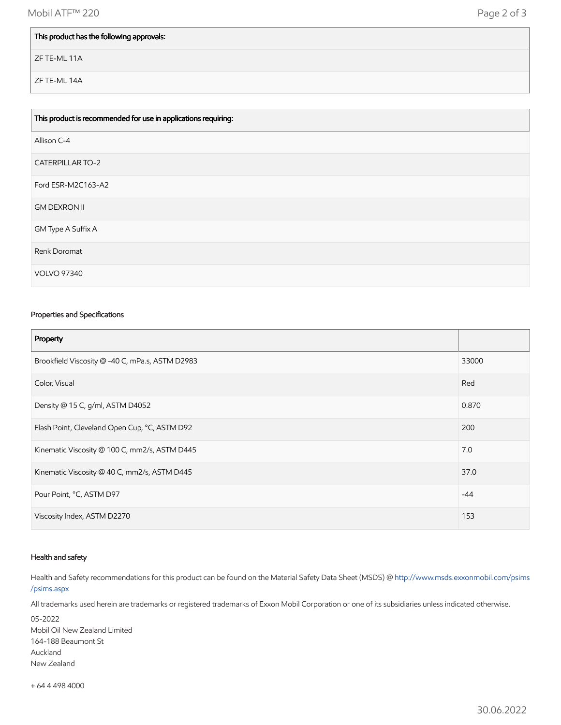## This product has the following approvals:

ZF TE-ML 11A

ZF TE-ML 14A

| This product is recommended for use in applications requiring: |
|----------------------------------------------------------------|
| Allison C-4                                                    |
| <b>CATERPILLAR TO-2</b>                                        |
| Ford ESR-M2C163-A2                                             |
| <b>GM DEXRON II</b>                                            |
| GM Type A Suffix A                                             |
| Renk Doromat                                                   |
| <b>VOLVO 97340</b>                                             |

## Properties and Specifications

| Property                                        |       |
|-------------------------------------------------|-------|
| Brookfield Viscosity @ -40 C, mPa.s, ASTM D2983 | 33000 |
| Color, Visual                                   | Red   |
| Density @ 15 C, g/ml, ASTM D4052                | 0.870 |
| Flash Point, Cleveland Open Cup, °C, ASTM D92   | 200   |
| Kinematic Viscosity @ 100 C, mm2/s, ASTM D445   | 7.0   |
| Kinematic Viscosity @ 40 C, mm2/s, ASTM D445    | 37.0  |
| Pour Point, °C, ASTM D97                        | $-44$ |
| Viscosity Index, ASTM D2270                     | 153   |

#### Health and safety

Health and Safety recommendations for this product can be found on the Material Safety Data Sheet (MSDS) @ [http://www.msds.exxonmobil.com/psims](http://www.msds.exxonmobil.com/psims/psims.aspx) /psims.aspx

All trademarks used herein are trademarks or registered trademarks of Exxon Mobil Corporation or one of its subsidiaries unless indicated otherwise.

05-2022 Mobil Oil New Zealand Limited 164-188 Beaumont St Auckland New Zealand

+ 64 4 498 4000